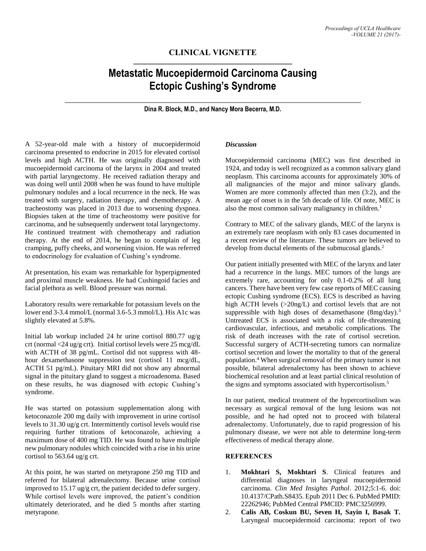## **CLINICAL VIGNETTE**

## **Metastatic Mucoepidermoid Carcinoma Causing Ectopic Cushing's Syndrome**

**Dina R. Block, M.D., and Nancy Mora Becerra, M.D.**

A 52-year-old male with a history of mucoepidermoid carcinoma presented to endocrine in 2015 for elevated cortisol levels and high ACTH. He was originally diagnosed with mucoepidermoid carcinoma of the larynx in 2004 and treated with partial laryngectomy. He received radiation therapy and was doing well until 2008 when he was found to have multiple pulmonary nodules and a local recurrence in the neck. He was treated with surgery, radiation therapy, and chemotherapy. A tracheostomy was placed in 2013 due to worsening dyspnea. Biopsies taken at the time of tracheostomy were positive for carcinoma, and he subsequently underwent total laryngectomy. He continued treatment with chemotherapy and radiation therapy. At the end of 2014, he began to complain of leg cramping, puffy cheeks, and worsening vision. He was referred to endocrinology for evaluation of Cushing's syndrome.

At presentation, his exam was remarkable for hyperpigmented and proximal muscle weakness. He had Cushingoid facies and facial plethora as well. Blood pressure was normal.

Laboratory results were remarkable for potassium levels on the lower end 3-3.4 mmol/L (normal 3.6-5.3 mmol/L). His A1c was slightly elevated at 5.8%.

Initial lab workup included 24 hr urine cortisol 880.77 ug/g crt (normal <24 ug/g crt). Initial cortisol levels were 25 mcg/dL with ACTH of 38 pg/mL. Cortisol did not suppress with 48 hour dexamethasone suppression test (cortisol 11 mcg/dL, ACTH 51 pg/mL). Pituitary MRI did not show any abnormal signal in the pituitary gland to suggest a microadenoma. Based on these results, he was diagnosed with ectopic Cushing's syndrome.

He was started on potassium supplementation along with ketoconazole 200 mg daily with improvement in urine cortisol levels to 31.30 ug/g crt. Intermittently cortisol levels would rise requiring further titrations of ketoconazole, achieving a maximum dose of 400 mg TID. He was found to have multiple new pulmonary nodules which coincided with a rise in his urine cortisol to 563.64 ug/g crt.

At this point, he was started on metyrapone 250 mg TID and referred for bilateral adrenalectomy. Because urine cortisol improved to 15.17 ug/g crt, the patient decided to defer surgery. While cortisol levels were improved, the patient's condition ultimately deteriorated, and he died 5 months after starting metyrapone.

## *Discussion*

Mucoepidermoid carcinoma (MEC) was first described in 1924, and today is well recognized as a common salivary gland neoplasm. This carcinoma accounts for approximately 30% of all malignancies of the major and minor salivary glands. Women are more commonly affected than men (3:2), and the mean age of onset is in the 5th decade of life. Of note, MEC is also the most common salivary malignancy in children.<sup>1</sup>

Contrary to MEC of the salivary glands, MEC of the larynx is an extremely rare neoplasm with only 83 cases documented in a recent review of the literature. These tumors are believed to develop from ductal elements of the submucosal glands. 2

Our patient initially presented with MEC of the larynx and later had a recurrence in the lungs. MEC tumors of the lungs are extremely rare, accounting for only 0.1-0.2% of all lung cancers. There have been very few case reports of MEC causing ectopic Cushing syndrome (ECS). ECS is described as having high ACTH levels ( $>20$ ng/L) and cortisol levels that are not suppressible with high doses of dexamethasone  $(8mg/day)$ .<sup>3</sup> Untreated ECS is associated with a risk of life-threatening cardiovascular, infectious, and metabolic complications. The risk of death increases with the rate of cortisol secretion. Successful surgery of ACTH-secreting tumors can normalize cortisol secretion and lower the mortality to that of the general population. <sup>4</sup> When surgical removal of the primary tumor is not possible, bilateral adrenalectomy has been shown to achieve biochemical resolution and at least partial clinical resolution of the signs and symptoms associated with hypercortisolism. 5

In our patient, medical treatment of the hypercortisolism was necessary as surgical removal of the lung lesions was not possible, and he had opted not to proceed with bilateral adrenalectomy. Unfortunately, due to rapid progression of his pulmonary disease, we were not able to determine long-term effectiveness of medical therapy alone.

## **REFERENCES**

- 1. **Mokhtari S, Mokhtari S**. Clinical features and differential diagnoses in laryngeal mucoepidermoid carcinoma. *Clin Med Insights Pathol*. 2012;5:1-6. doi: 10.4137/CPath.S8435. Epub 2011 Dec 6. PubMed PMID: 22262946; PubMed Central PMCID: PMC3256999.
- 2. **Calis AB, Coskun BU, Seven H, Sayin I, Basak T.** Laryngeal mucoepidermoid carcinoma: report of two